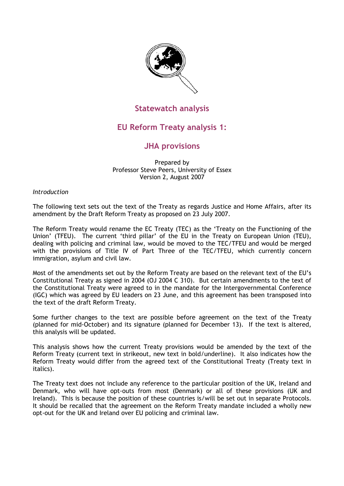

# **Statewatch analysis**

# **EU Reform Treaty analysis 1:**

# **JHA provisions**

Prepared by Professor Steve Peers, University of Essex Version 2, August 2007

*Introduction* 

The following text sets out the text of the Treaty as regards Justice and Home Affairs, after its amendment by the Draft Reform Treaty as proposed on 23 July 2007.

The Reform Treaty would rename the EC Treaty (TEC) as the 'Treaty on the Functioning of the Union' (TFEU). The current 'third pillar' of the EU in the Treaty on European Union (TEU), dealing with policing and criminal law, would be moved to the TEC/TFEU and would be merged with the provisions of Title IV of Part Three of the TEC/TFEU, which currently concern immigration, asylum and civil law.

Most of the amendments set out by the Reform Treaty are based on the relevant text of the EU's Constitutional Treaty as signed in 2004 (OJ 2004 C 310). But certain amendments to the text of the Constitutional Treaty were agreed to in the mandate for the Intergovernmental Conference (IGC) which was agreed by EU leaders on 23 June, and this agreement has been transposed into the text of the draft Reform Treaty.

Some further changes to the text are possible before agreement on the text of the Treaty (planned for mid-October) and its signature (planned for December 13). If the text is altered, this analysis will be updated.

This analysis shows how the current Treaty provisions would be amended by the text of the Reform Treaty (current text in strikeout, new text in bold/underline). It also indicates how the Reform Treaty would differ from the agreed text of the Constitutional Treaty (Treaty text in italics).

The Treaty text does not include any reference to the particular position of the UK, Ireland and Denmark, who will have opt-outs from most (Denmark) or all of these provisions (UK and Ireland). This is because the position of these countries is/will be set out in separate Protocols. It should be recalled that the agreement on the Reform Treaty mandate included a wholly new opt-out for the UK and Ireland over EU policing and criminal law.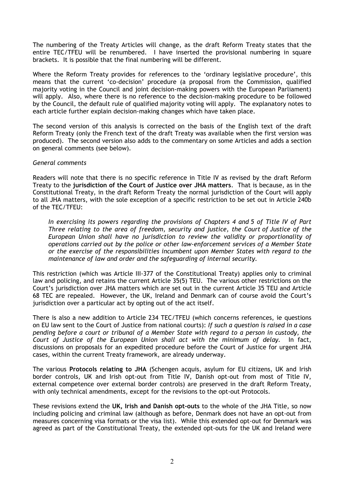The numbering of the Treaty Articles will change, as the draft Reform Treaty states that the entire TEC/TFEU will be renumbered. I have inserted the provisional numbering in square brackets. It is possible that the final numbering will be different.

Where the Reform Treaty provides for references to the 'ordinary legislative procedure', this means that the current 'co-decision' procedure (a proposal from the Commission, qualified majority voting in the Council and joint decision-making powers with the European Parliament) will apply. Also, where there is no reference to the decision-making procedure to be followed by the Council, the default rule of qualified majority voting will apply. The explanatory notes to each article further explain decision-making changes which have taken place.

The second version of this analysis is corrected on the basis of the English text of the draft Reform Treaty (only the French text of the draft Treaty was available when the first version was produced). The second version also adds to the commentary on some Articles and adds a section on general comments (see below).

### *General comments*

Readers will note that there is no specific reference in Title IV as revised by the draft Reform Treaty to the **jurisdiction of the Court of Justice over JHA matters**. That is because, as in the Constitutional Treaty, in the draft Reform Treaty the normal jurisdiction of the Court will apply to all JHA matters, with the sole exception of a specific restriction to be set out in Article 240b of the TEC/TFEU:

*In exercising its powers regarding the provisions of Chapters 4 and 5 of Title IV of Part Three relating to the area of freedom, security and justice, the Court of Justice of the European Union shall have no jurisdiction to review the validity or proportionality of operations carried out by the police or other law-enforcement services of a Member State or the exercise of the responsibilities incumbent upon Member States with regard to the maintenance of law and order and the safeguarding of internal security.* 

This restriction (which was Article III-377 of the Constitutional Treaty) applies only to criminal law and policing, and retains the current Article 35(5) TEU. The various other restrictions on the Court's jurisdiction over JHA matters which are set out in the current Article 35 TEU and Article 68 TEC are repealed. However, the UK, Ireland and Denmark can of course avoid the Court's jurisdiction over a particular act by opting out of the act itself.

There is also a new addition to Article 234 TEC/TFEU (which concerns references, ie questions on EU law sent to the Court of Justice from national courts): *If such a question is raised in a case pending before a court or tribunal of a Member State with regard to a person in custody, the Court of Justice of the European Union shall act with the minimum of delay.* In fact, discussions on proposals for an expedited procedure before the Court of Justice for urgent JHA cases, within the current Treaty framework, are already underway.

The various **Protocols relating to JHA** (Schengen acquis, asylum for EU citizens, UK and Irish border controls, UK and Irish opt-out from Title IV, Danish opt-out from most of Title IV, external competence over external border controls) are preserved in the draft Reform Treaty, with only technical amendments, except for the revisions to the opt-out Protocols.

These revisions extend the **UK, Irish and Danish opt-outs** to the whole of the JHA Title, so now including policing and criminal law (although as before, Denmark does not have an opt-out from measures concerning visa formats or the visa list). While this extended opt-out for Denmark was agreed as part of the Constitutional Treaty, the extended opt-outs for the UK and Ireland were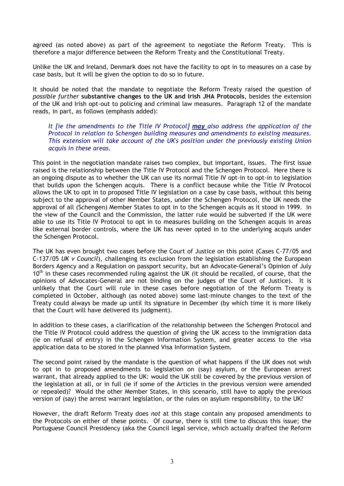agreed (as noted above) as part of the agreement to negotiate the Reform Treaty. This is therefore a major difference between the Reform Treaty and the Constitutional Treaty.

Unlike the UK and Ireland, Denmark does not have the facility to opt in to measures on a case by case basis, but it will be given the option to do so in future.

It should be noted that the mandate to negotiate the Reform Treaty raised the question of *possible further* **substantive changes to the UK and Irish JHA Protocols**, besides the extension of the UK and Irish opt-out to policing and criminal law measures. Paragraph 12 of the mandate reads, in part, as follows (emphasis added):

*It [ie the amendments to the Title IV Protocol] may also address the application of the Protocol in relation to Schengen building measures and amendments to existing measures. This extension will take account of the UK's position under the previously existing Union acquis in these areas.*

This point in the negotiation mandate raises two complex, but important, issues. The first issue raised is the relationship between the Title IV Protocol and the Schengen Protocol. Here there is an ongoing dispute as to whether the UK can use its normal Title IV opt-in to opt-in to legislation that builds upon the Schengen acquis. There is a conflict because while the Title IV Protocol allows the UK to opt in to proposed Title IV legislation on a case by case basis, without this being subject to the approval of other Member States, under the Schengen Protocol, the UK needs the approval of all (Schengen) Member States to opt in to the Schengen acquis as it stood in 1999. In the view of the Council and the Commission, the latter rule would be subverted if the UK were able to use its Title IV Protocol to opt in to measures building on the Schengen acquis in areas like external border controls, where the UK has never opted in to the underlying acquis under the Schengen Protocol.

The UK has even brought two cases before the Court of Justice on this point (Cases C-77/05 and C-137/05 *UK v Council*), challenging its exclusion from the legislation establishing the European Borders Agency and a Regulation on passport security, but an Advocate-General's Opinion of July 10<sup>th</sup> in these cases recommended ruling against the UK (it should be recalled, of course, that the opinions of Advocates-General are not binding on the judges of the Court of Justice). It is unlikely that the Court will rule in these cases before negotiation of the Reform Treaty is completed in October, although (as noted above) some last-minute changes to the text of the Treaty could always be made up until its signature in December (by which time it is more likely that the Court will have delivered its judgment).

In addition to these cases, a clarification of the relationship between the Schengen Protocol and the Title IV Protocol could address the question of giving the UK access to the immigration data (ie on refusal of entry) in the Schengen Information System, and greater access to the visa application data to be stored in the planned Visa Information System.

The second point raised by the mandate is the question of what happens if the UK does not wish to opt in to proposed amendments to legislation on (say) asylum, or the European arrest warrant, that already applied to the UK: would the UK still be covered by the previous version of the legislation at all, or in full (ie if some of the Articles in the previous version were amended or repealed)? Would the other Member States, in this scenario, still have to apply the previous version of (say) the arrest warrant legislation, or the rules on asylum responsibility, to the UK?

However, the draft Reform Treaty does *not* at this stage contain any proposed amendments to the Protocols on either of these points. Of course, there is still time to discuss this issue; the Portuguese Council Presidency (aka the Council legal service, which actually drafted the Reform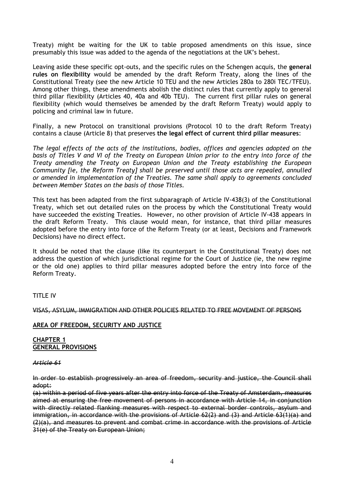Treaty) might be waiting for the UK to table proposed amendments on this issue, since presumably this issue was added to the agenda of the negotiations at the UK's behest.

Leaving aside these specific opt-outs, and the specific rules on the Schengen acquis, the **general rules on flexibility** would be amended by the draft Reform Treaty, along the lines of the Constitutional Treaty (see the new Article 10 TEU and the new Articles 280a to 280i TEC/TFEU). Among other things, these amendments abolish the distinct rules that currently apply to general third pillar flexibility (Articles 40, 40a and 40b TEU). The current first pillar rules on general flexibility (which would themselves be amended by the draft Reform Treaty) would apply to policing and criminal law in future.

Finally, a new Protocol on transitional provisions (Protocol 10 to the draft Reform Treaty) contains a clause (Article 8) that preserves **the legal effect of current third pillar measures**:

*The legal effects of the acts of the institutions, bodies, offices and agencies adopted on the basis of Titles V and VI of the Treaty on European Union prior to the entry into force of the Treaty amending the Treaty on European Union and the Treaty establishing the European Community [ie, the Reform Treaty] shall be preserved until those acts are repealed, annulled or amended in implementation of the Treaties. The same shall apply to agreements concluded between Member States on the basis of those Titles.* 

This text has been adapted from the first subparagraph of Article IV-438(3) of the Constitutional Treaty, which set out detailed rules on the process by which the Constitutional Treaty would have succeeded the existing Treaties. However, no other provision of Article IV-438 appears in the draft Reform Treaty. This clause would mean, for instance, that third pillar measures adopted before the entry into force of the Reform Treaty (or at least, Decisions and Framework Decisions) have no direct effect.

It should be noted that the clause (like its counterpart in the Constitutional Treaty) does not address the question of which jurisdictional regime for the Court of Justice (ie, the new regime or the old one) applies to third pillar measures adopted before the entry into force of the Reform Treaty.

TITLE IV

VISAS, ASYLUM, IMMIGRATION AND OTHER POLICIES RELATED TO FREE MOVEMENT OF PERSONS

# **AREA OF FREEDOM, SECURITY AND JUSTICE**

#### **CHAPTER 1 GENERAL PROVISIONS**

# *Article 61*

In order to establish progressively an area of freedom, security and justice, the Council shall adopt:

(a) within a period of five years after the entry into force of the Treaty of Amsterdam, measures aimed at ensuring the free movement of persons in accordance with Article 14, in conjunction with directly related flanking measures with respect to external border controls, asylum and immigration, in accordance with the provisions of Article 62(2) and (3) and Article 63(1)(a) and (2)(a), and measures to prevent and combat crime in accordance with the provisions of Article 31(e) of the Treaty on European Union;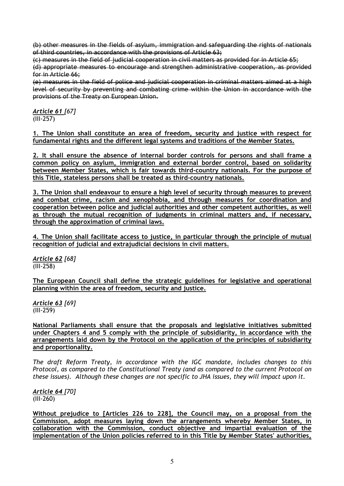(b) other measures in the fields of asylum, immigration and safeguarding the rights of nationals of third countries, in accordance with the provisions of Article 63;

(c) measures in the field of judicial cooperation in civil matters as provided for in Article 65;

(d) appropriate measures to encourage and strengthen administrative cooperation, as provided for in Article 66;

(e) measures in the field of police and judicial cooperation in criminal matters aimed at a high level of security by preventing and combating crime within the Union in accordance with the provisions of the Treaty on European Union.

# *Article 61 [67]*   $(HII-257)$

**1. The Union shall constitute an area of freedom, security and justice with respect for fundamental rights and the different legal systems and traditions of the Member States.**

**2. It shall ensure the absence of internal border controls for persons and shall frame a common policy on asylum, immigration and external border control, based on solidarity between Member States, which is fair towards third-country nationals. For the purpose of this Title, stateless persons shall be treated as third-country nationals.**

**3. The Union shall endeavour to ensure a high level of security through measures to prevent and combat crime, racism and xenophobia, and through measures for coordination and cooperation between police and judicial authorities and other competent authorities, as well as through the mutual recognition of judgments in criminal matters and, if necessary, through the approximation of criminal laws.**

**4. The Union shall facilitate access to justice, in particular through the principle of mutual recognition of judicial and extrajudicial decisions in civil matters.**

*Article 62 [68]*  (III-258)

**The European Council shall define the strategic guidelines for legislative and operational planning within the area of freedom, security and justice.**

*Article 63 [69]*   $\overline{(\text{III-259})}$ 

**National Parliaments shall ensure that the proposals and legislative initiatives submitted under Chapters 4 and 5 comply with the principle of subsidiarity, in accordance with the arrangements laid down by the Protocol on the application of the principles of subsidiarity and proportionality.**

*The draft Reform Treaty, in accordance with the IGC mandate, includes changes to this Protocol, as compared to the Constitutional Treaty (and as compared to the current Protocol on these issues). Although these changes are not specific to JHA issues, they will impact upon it.* 

*Article 64 [70]*  (III-260)

**Without prejudice to [Articles 226 to 228], the Council may, on a proposal from the Commission, adopt measures laying down the arrangements whereby Member States, in collaboration with the Commission, conduct objective and impartial evaluation of the implementation of the Union policies referred to in this Title by Member States' authorities,**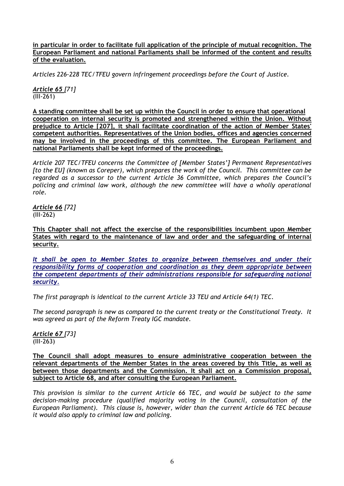**in particular in order to facilitate full application of the principle of mutual recognition. The European Parliament and national Parliaments shall be informed of the content and results of the evaluation.**

*Articles 226-228 TEC/TFEU govern infringement proceedings before the Court of Justice.* 

*Article 65 [71]*  (III-261)

**A standing committee shall be set up within the Council in order to ensure that operational cooperation on internal security is promoted and strengthened within the Union. Without prejudice to Article [207], it shall facilitate coordination of the action of Member States' competent authorities. Representatives of the Union bodies, offices and agencies concerned may be involved in the proceedings of this committee. The European Parliament and national Parliaments shall be kept informed of the proceedings.**

*Article 207 TEC/TFEU concerns the Committee of [Member States'] Permanent Representatives [to the EU] (known as Coreper), which prepares the work of the Council. This committee can be regarded as a successor to the current Article 36 Committee, which prepares the Council's policing and criminal law work, although the new committee will have a wholly operational role.*

*Article 66 [72]* (III-262)

**This Chapter shall not affect the exercise of the responsibilities incumbent upon Member States with regard to the maintenance of law and order and the safeguarding of internal security.**

*It shall be open to Member States to organize between themselves and under their responsibility forms of cooperation and coordination as they deem appropriate between the competent departments of their administrations responsible for safeguarding national security.*

*The first paragraph is identical to the current Article 33 TEU and Article 64(1) TEC.* 

*The second paragraph is new as compared to the current treaty or the Constitutional Treaty. It was agreed as part of the Reform Treaty IGC mandate.* 

*Article 67 [73]*  (III-263)

**The Council shall adopt measures to ensure administrative cooperation between the relevant departments of the Member States in the areas covered by this Title, as well as between those departments and the Commission. It shall act on a Commission proposal, subject to Article 68, and after consulting the European Parliament.**

*This provision is similar to the current Article 66 TEC, and would be subject to the same decision-making procedure (qualified majority voting in the Council, consultation of the European Parliament). This clause is, however, wider than the current Article 66 TEC because it would also apply to criminal law and policing.*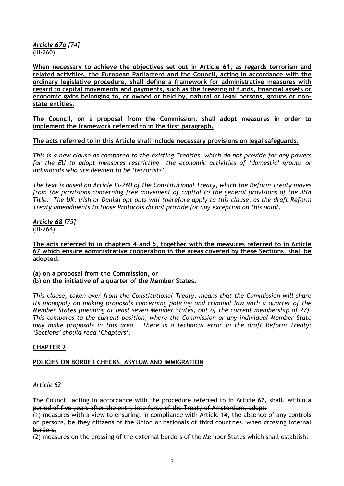*Article 67a [74]*  (III-260)

**When necessary to achieve the objectives set out in Article 61, as regards terrorism and related activities, the European Parliament and the Council, acting in accordance with the ordinary legislative procedure, shall define a framework for administrative measures with regard to capital movements and payments, such as the freezing of funds, financial assets or economic gains belonging to, or owned or held by, natural or legal persons, groups or nonstate entities.**

**The Council, on a proposal from the Commission, shall adopt measures in order to implement the framework referred to in the first paragraph.**

# **The acts referred to in this Article shall include necessary provisions on legal safeguards.**

*This is a new clause as compared to the existing Treaties ,which do not provide for any powers for the EU to adopt measures restricting the economic activities of 'domestic' groups or individuals who are deemed to be 'terrorists'.* 

*The text is based on Article III-260 of the Constitutional Treaty, which the Reform Treaty moves from the provisions concerning free movement of capital to the general provisions of the JHA Title. The UK, Irish or Danish opt-outs will therefore apply to this clause, as the draft Reform Treaty amendments to those Protocols do not provide for any exception on this point.* 

*Article 68 [75]*  (III-264)

**The acts referred to in chapters 4 and 5, together with the measures referred to in Article 67 which ensure administrative cooperation in the areas covered by these Sections, shall be adopted:**

**(a) on a proposal from the Commission, or (b) on the initiative of a quarter of the Member States.**

*This clause, taken over from the Constitutional Treaty, means that the Commission will share its monopoly on making proposals concerning policing and criminal law with a quarter of the Member States (meaning at least seven Member States, out of the current membership of 27). This compares to the current position, where the Commission or any individual Member State may make proposals in this area. There is a technical error in the draft Reform Treaty: 'Sections' should read 'Chapters'.* 

# **CHAPTER 2**

# **POLICIES ON BORDER CHECKS, ASYLUM AND IMMIGRATION**

#### *Article 62*

The Council, acting in accordance with the procedure referred to in Article 67, shall, within a period of five years after the entry into force of the Treaty of Amsterdam, adopt:

(1) measures with a view to ensuring, in compliance with Article 14, the absence of any controls on persons, be they citizens of the Union or nationals of third countries, when crossing internal borders;

(2) measures on the crossing of the external borders of the Member States which shall establish: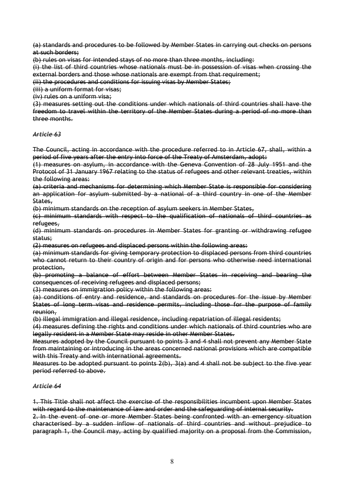(a) standards and procedures to be followed by Member States in carrying out checks on persons at such borders;

(b) rules on visas for intended stays of no more than three months, including:

(i) the list of third countries whose nationals must be in possession of visas when crossing the external borders and those whose nationals are exempt from that requirement;

(ii) the procedures and conditions for issuing visas by Member States;

(iii) a uniform format for visas;

(iv) rules on a uniform visa;

(3) measures setting out the conditions under which nationals of third countries shall have the freedom to travel within the territory of the Member States during a period of no more than three months.

# *Article 63*

The Council, acting in accordance with the procedure referred to in Article 67, shall, within a period of five years after the entry into force of the Treaty of Amsterdam, adopt:

(1) measures on asylum, in accordance with the Geneva Convention of 28 July 1951 and the Protocol of 31 January 1967 relating to the status of refugees and other relevant treaties, within the following areas:

(a) criteria and mechanisms for determining which Member State is responsible for considering an application for asylum submitted by a national of a third country in one of the Member States,

(b) minimum standards on the reception of asylum seekers in Member States,

(c) minimum standards with respect to the qualification of nationals of third countries as refugees,

(d) minimum standards on procedures in Member States for granting or withdrawing refugee status;

(2) measures on refugees and displaced persons within the following areas:

(a) minimum standards for giving temporary protection to displaced persons from third countries who cannot return to their country of origin and for persons who otherwise need international protection,

(b) promoting a balance of effort between Member States in receiving and bearing the consequences of receiving refugees and displaced persons;

(3) measures on immigration policy within the following areas:

(a) conditions of entry and residence, and standards on procedures for the issue by Member States of long term visas and residence permits, including those for the purpose of family reunion,

(b) illegal immigration and illegal residence, including repatriation of illegal residents;

(4) measures defining the rights and conditions under which nationals of third countries who are legally resident in a Member State may reside in other Member States.

Measures adopted by the Council pursuant to points 3 and 4 shall not prevent any Member State from maintaining or introducing in the areas concerned national provisions which are compatible with this Treaty and with international agreements.

Measures to be adopted pursuant to points 2(b), 3(a) and 4 shall not be subject to the five year period referred to above.

# *Article 64*

1. This Title shall not affect the exercise of the responsibilities incumbent upon Member States with regard to the maintenance of law and order and the safeguarding of internal security.

2. In the event of one or more Member States being confronted with an emergency situation characterised by a sudden inflow of nationals of third countries and without prejudice to paragraph 1, the Council may, acting by qualified majority on a proposal from the Commission,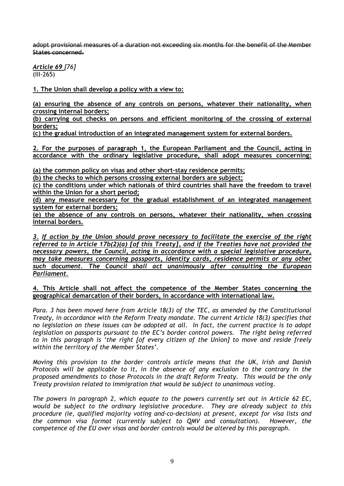adopt provisional measures of a duration not exceeding six months for the benefit of the Member States concerned.

*Article 69 [76]*  (III-265)

**1. The Union shall develop a policy with a view to:**

**(a) ensuring the absence of any controls on persons, whatever their nationality, when crossing internal borders;**

**(b) carrying out checks on persons and efficient monitoring of the crossing of external borders;**

**(c) the gradual introduction of an integrated management system for external borders.**

**2. For the purposes of paragraph 1, the European Parliament and the Council, acting in accordance with the ordinary legislative procedure, shall adopt measures concerning:**

**(a) the common policy on visas and other short-stay residence permits;**

**(b) the checks to which persons crossing external borders are subject;**

**(c) the conditions under which nationals of third countries shall have the freedom to travel within the Union for a short period;**

**(d) any measure necessary for the gradual establishment of an integrated management system for external borders;**

**(e) the absence of any controls on persons, whatever their nationality, when crossing internal borders.**

*3. If action by the Union should prove necessary to facilitate the exercise of the right referred to in Article 17b(2)(a) [of this Treaty], and if the Treaties have not provided the necessary powers, the Council, acting in accordance with a special legislative procedure, may take measures concerning passports, identity cards, residence permits or any other*  such document. The Council shall act unanimously after consulting the European *Parliament.*

#### **4. This Article shall not affect the competence of the Member States concerning the geographical demarcation of their borders, in accordance with international law.**

*Para. 3 has been moved here from Article 18(3) of the TEC, as amended by the Constitutional Treaty, in accordance with the Reform Treaty mandate. The current Article 18(3) specifies that no legislation on these issues can be adopted at all. In fact, the current practice is to adopt legislation on passports pursuant to the EC's border control powers. The right being referred to in this paragraph is 'the right [of every citizen of the Union] to move and reside freely within the territory of the Member States'.*

*Moving this provision to the border controls article means that the UK, Irish and Danish Protocols will be applicable to it, in the absence of any exclusion to the contrary in the proposed amendments to those Protocols in the draft Reform Treaty. This would be the only Treaty provision related to immigration that would be subject to unanimous voting.* 

*The powers in paragraph 2, which equate to the powers currently set out in Article 62 EC, would be subject to the ordinary legislative procedure. They are already subject to this procedure (ie, qualified majority voting and-co-decision) at present, except for visa lists and the common visa format (currently subject to QMV and consultation). However, the competence of the EU over visas and border controls would be altered by this paragraph.*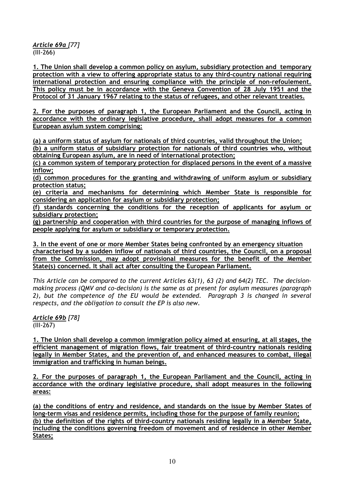*Article 69a [77]*  (III-266)

**1. The Union shall develop a common policy on asylum, subsidiary protection and temporary protection with a view to offering appropriate status to any third-country national requiring international protection and ensuring compliance with the principle of non-refoulement. This policy must be in accordance with the Geneva Convention of 28 July 1951 and the Protocol of 31 January 1967 relating to the status of refugees, and other relevant treaties.**

**2. For the purposes of paragraph 1, the European Parliament and the Council, acting in accordance with the ordinary legislative procedure, shall adopt measures for a common European asylum system comprising:**

**(a) a uniform status of asylum for nationals of third countries, valid throughout the Union; (b) a uniform status of subsidiary protection for nationals of third countries who, without obtaining European asylum, are in need of international protection;**

**(c) a common system of temporary protection for displaced persons in the event of a massive inflow;**

**(d) common procedures for the granting and withdrawing of uniform asylum or subsidiary protection status;**

**(e) criteria and mechanisms for determining which Member State is responsible for considering an application for asylum or subsidiary protection;**

**(f) standards concerning the conditions for the reception of applicants for asylum or subsidiary protection;**

**(g) partnership and cooperation with third countries for the purpose of managing inflows of people applying for asylum or subsidiary or temporary protection.**

**3. In the event of one or more Member States being confronted by an emergency situation characterised by a sudden inflow of nationals of third countries, the Council, on a proposal from the Commission, may adopt provisional measures for the benefit of the Member State(s) concerned. It shall act after consulting the European Parliament.**

*This Article can be compared to the current Articles 63(1), 63 (2) and 64(2) TEC. The decisionmaking process (QMV and co-decision) is the same as at present for asylum measures (paragraph 2), but the competence of the EU would be extended. Paragraph 3 is changed in several respects, and the obligation to consult the EP is also new.* 

*Article 69b [78]*   $\overline{(\text{III-267})}$ 

**1. The Union shall develop a common immigration policy aimed at ensuring, at all stages, the efficient management of migration flows, fair treatment of third-country nationals residing legally in Member States, and the prevention of, and enhanced measures to combat, illegal immigration and trafficking in human beings.**

**2. For the purposes of paragraph 1, the European Parliament and the Council, acting in accordance with the ordinary legislative procedure, shall adopt measures in the following areas:**

**(a) the conditions of entry and residence, and standards on the issue by Member States of long-term visas and residence permits, including those for the purpose of family reunion; (b) the definition of the rights of third-country nationals residing legally in a Member State, including the conditions governing freedom of movement and of residence in other Member States;**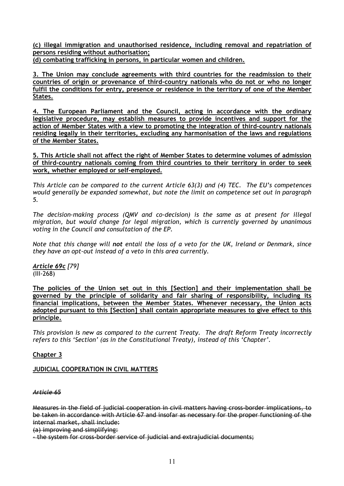**(c) illegal immigration and unauthorised residence, including removal and repatriation of persons residing without authorisation; (d) combating trafficking in persons, in particular women and children.**

**3. The Union may conclude agreements with third countries for the readmission to their countries of origin or provenance of third-country nationals who do not or who no longer fulfil the conditions for entry, presence or residence in the territory of one of the Member States.**

**4. The European Parliament and the Council, acting in accordance with the ordinary legislative procedure, may establish measures to provide incentives and support for the action of Member States with a view to promoting the integration of third-country nationals residing legally in their territories, excluding any harmonisation of the laws and regulations of the Member States.**

**5. This Article shall not affect the right of Member States to determine volumes of admission of third-country nationals coming from third countries to their territory in order to seek work, whether employed or self-employed.**

*This Article can be compared to the current Article 63(3) and (4) TEC. The EU's competences would generally be expanded somewhat, but note the limit on competence set out in paragraph 5.* 

*The decision-making process (QMV and co-decision) is the same as at present for illegal migration, but would change for legal migration, which is currently governed by unanimous voting in the Council and consultation of the EP.* 

*Note that this change will not entail the loss of a veto for the UK, Ireland or Denmark, since they have an opt-out instead of a veto in this area currently.* 

*Article 69c [79]* (III-268)

**The policies of the Union set out in this [Section] and their implementation shall be governed by the principle of solidarity and fair sharing of responsibility, including its financial implications, between the Member States. Whenever necessary, the Union acts adopted pursuant to this [Section] shall contain appropriate measures to give effect to this principle.**

*This provision is new as compared to the current Treaty. The draft Reform Treaty incorrectly refers to this 'Section' (as in the Constitutional Treaty), instead of this 'Chapter'.* 

# **Chapter 3**

# **JUDICIAL COOPERATION IN CIVIL MATTERS**

# *Article 65*

Measures in the field of judicial cooperation in civil matters having cross-border implications, to be taken in accordance with Article 67 and insofar as necessary for the proper functioning of the internal market, shall include:

(a) improving and simplifying:

- the system for cross-border service of judicial and extrajudicial documents;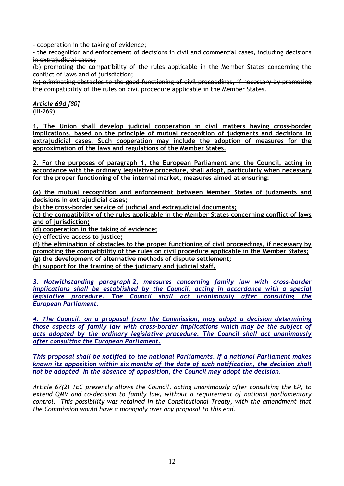- cooperation in the taking of evidence;

- the recognition and enforcement of decisions in civil and commercial cases, including decisions in extrajudicial cases;

(b) promoting the compatibility of the rules applicable in the Member States concerning the conflict of laws and of jurisdiction;

(c) eliminating obstacles to the good functioning of civil proceedings, if necessary by promoting the compatibility of the rules on civil procedure applicable in the Member States.

*Article 69d [80]*  (III-269)

**1. The Union shall develop judicial cooperation in civil matters having cross-border implications, based on the principle of mutual recognition of judgments and decisions in extrajudicial cases. Such cooperation may include the adoption of measures for the approximation of the laws and regulations of the Member States.**

**2. For the purposes of paragraph 1, the European Parliament and the Council, acting in accordance with the ordinary legislative procedure, shall adopt, particularly when necessary for the proper functioning of the internal market, measures aimed at ensuring:**

**(a) the mutual recognition and enforcement between Member States of judgments and decisions in extrajudicial cases;**

**(b) the cross-border service of judicial and extrajudicial documents;**

**(c) the compatibility of the rules applicable in the Member States concerning conflict of laws and of jurisdiction;**

**(d) cooperation in the taking of evidence;**

**(e) effective access to justice;**

**(f) the elimination of obstacles to the proper functioning of civil proceedings, if necessary by promoting the compatibility of the rules on civil procedure applicable in the Member States; (g) the development of alternative methods of dispute settlement; (h) support for the training of the judiciary and judicial staff.**

*3. Notwithstanding paragraph 2, measures concerning family law with cross-border*  implications shall be established by the Council, acting in accordance with a special *legislative procedure. The Council shall act unanimously after consulting the European Parliament.*

*4. The Council, on a proposal from the Commission, may adopt a decision determining those aspects of family law with cross-border implications which may be the subject of acts adopted by the ordinary legislative procedure. The Council shall act unanimously after consulting the European Parliament.* 

*This proposal shall be notified to the national Parliaments. If a national Parliament makes known its opposition within six months of the date of such notification, the decision shall not be adopted. In the absence of opposition, the Council may adopt the decision.*

*Article 67(2) TEC presently allows the Council, acting unanimously after consulting the EP, to extend QMV and co-decision to family law, without a requirement of national parliamentary control. This possibility was retained in the Constitutional Treaty, with the amendment that the Commission would have a monopoly over any proposal to this end.*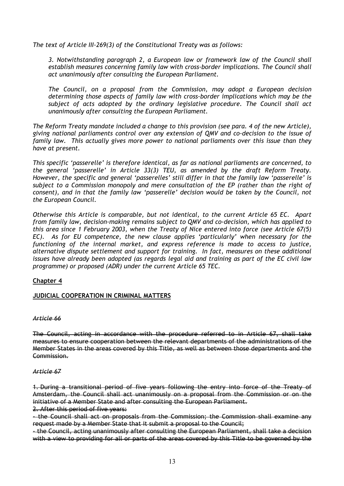*The text of Article III-269(3) of the Constitutional Treaty was as follows:* 

*3. Notwithstanding paragraph 2, a European law or framework law of the Council shall establish measures concerning family law with cross-border implications. The Council shall act unanimously after consulting the European Parliament.* 

*The Council, on a proposal from the Commission, may adopt a European decision determining those aspects of family law with cross-border implications which may be the subject of acts adopted by the ordinary legislative procedure. The Council shall act unanimously after consulting the European Parliament.* 

*The Reform Treaty mandate included a change to this provision (see para. 4 of the new Article), giving national parliaments control over any extension of QMV and co-decision to the issue of family law. This actually gives more power to national parliaments over this issue than they have at present.* 

*This specific 'passerelle' is therefore identical, as far as national parliaments are concerned, to the general 'passerelle' in Article 33(3) TEU, as amended by the draft Reform Treaty. However, the specific and general 'passerelles' still differ in that the family law 'passerelle' is subject to a Commission monopoly and mere consultation of the EP (rather than the right of consent), and in that the family law 'passerelle' decision would be taken by the Council, not the European Council.* 

*Otherwise this Article is comparable, but not identical, to the current Article 65 EC. Apart from family law, decision-making remains subject to QMV and co-decision, which has applied to this area since 1 February 2003, when the Treaty of Nice entered into force (see Article 67(5) EC). As for EU competence, the new clause applies 'particularly' when necessary for the functioning of the internal market, and express reference is made to access to justice, alternative dispute settlement and support for training. In fact, measures on these additional issues have already been adopted (as regards legal aid and training as part of the EC civil law programme) or proposed (ADR) under the current Article 65 TEC.* 

# **Chapter 4**

#### **JUDICIAL COOPERATION IN CRIMINAL MATTERS**

#### *Article 66*

The Council, acting in accordance with the procedure referred to in Article 67, shall take measures to ensure cooperation between the relevant departments of the administrations of the Member States in the areas covered by this Title, as well as between those departments and the Commission.

#### *Article 67*

1. During a transitional period of five years following the entry into force of the Treaty of Amsterdam, the Council shall act unanimously on a proposal from the Commission or on the initiative of a Member State and after consulting the European Parliament.

2. After this period of five years:

- the Council shall act on proposals from the Commission; the Commission shall examine any request made by a Member State that it submit a proposal to the Council;

- the Council, acting unanimously after consulting the European Parliament, shall take a decision with a view to providing for all or parts of the areas covered by this Title to be governed by the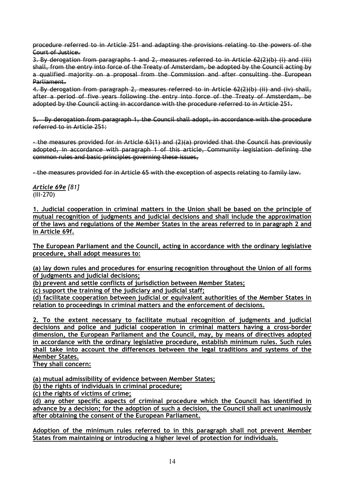procedure referred to in Article 251 and adapting the provisions relating to the powers of the Court of Justice.

3. By derogation from paragraphs 1 and 2, measures referred to in Article 62(2)(b) (i) and (iii) shall, from the entry into force of the Treaty of Amsterdam, be adopted by the Council acting by a qualified majority on a proposal from the Commission and after consulting the European Parliament.

4. By derogation from paragraph 2, measures referred to in Article 62(2)(b) (ii) and (iv) shall, after a period of five years following the entry into force of the Treaty of Amsterdam, be adopted by the Council acting in accordance with the procedure referred to in Article 251.

5. By derogation from paragraph 1, the Council shall adopt, in accordance with the procedure referred to in Article 251:

- the measures provided for in Article 63(1) and (2)(a) provided that the Council has previously adopted, in accordance with paragraph 1 of this article, Community legislation defining the common rules and basic principles governing these issues,

- the measures provided for in Article 65 with the exception of aspects relating to family law.

*Article 69e [81]* (III-270)

**1. Judicial cooperation in criminal matters in the Union shall be based on the principle of mutual recognition of judgments and judicial decisions and shall include the approximation of the laws and regulations of the Member States in the areas referred to in paragraph 2 and in Article 69f.**

**The European Parliament and the Council, acting in accordance with the ordinary legislative procedure, shall adopt measures to:**

**(a) lay down rules and procedures for ensuring recognition throughout the Union of all forms of judgments and judicial decisions;**

**(b) prevent and settle conflicts of jurisdiction between Member States;**

**(c) support the training of the judiciary and judicial staff;**

**(d) facilitate cooperation between judicial or equivalent authorities of the Member States in relation to proceedings in criminal matters and the enforcement of decisions.**

**2. To the extent necessary to facilitate mutual recognition of judgments and judicial decisions and police and judicial cooperation in criminal matters having a cross-border dimension, the European Parliament and the Council, may, by means of directives adopted in accordance with the ordinary legislative procedure, establish minimum rules. Such rules shall take into account the differences between the legal traditions and systems of the Member States.**

**They shall concern:**

**(a) mutual admissibility of evidence between Member States;**

**(b) the rights of individuals in criminal procedure;**

**(c) the rights of victims of crime;**

**(d) any other specific aspects of criminal procedure which the Council has identified in advance by a decision; for the adoption of such a decision, the Council shall act unanimously after obtaining the consent of the European Parliament.**

**Adoption of the minimum rules referred to in this paragraph shall not prevent Member States from maintaining or introducing a higher level of protection for individuals.**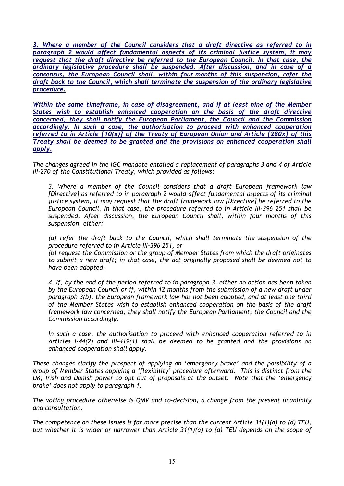*3. Where a member of the Council considers that a draft directive as referred to in paragraph 2 would affect fundamental aspects of its criminal justice system, it may request that the draft directive be referred to the European Council. In that case, the ordinary legislative procedure shall be suspended. After discussion, and in case of a consensus, the European Council shall, within four months of this suspension, refer the draft back to the Council, which shall terminate the suspension of the ordinary legislative procedure.*

*Within the same timeframe, in case of disagreement, and if at least nine of the Member States wish to establish enhanced cooperation on the basis of the draft directive concerned, they shall notify the European Parliament, the Council and the Commission accordingly. In such a case, the authorisation to proceed with enhanced cooperation referred to in Article [10(x)] of the Treaty of European Union and Article [280x] of this Treaty shall be deemed to be granted and the provisions on enhanced cooperation shall apply.*

*The changes agreed in the IGC mandate entailed a replacement of paragraphs 3 and 4 of Article III-270 of the Constitutional Treaty, which provided as follows:* 

*3. Where a member of the Council considers that a draft European framework law [Directive] as referred to in paragraph 2 would affect fundamental aspects of its criminal justice system, it may request that the draft framework law [Directive] be referred to the European Council. In that case, the procedure referred to in Article III-396 251 shall be suspended. After discussion, the European Council shall, within four months of this suspension, either:* 

*(a) refer the draft back to the Council, which shall terminate the suspension of the procedure referred to in Article III-396 251, or* 

*(b) request the Commission or the group of Member States from which the draft originates to submit a new draft; in that case, the act originally proposed shall be deemed not to have been adopted.* 

*4. If, by the end of the period referred to in paragraph 3, either no action has been taken by the European Council or if, within 12 months from the submission of a new draft under paragraph 3(b), the European framework law has not been adopted, and at least one third of the Member States wish to establish enhanced cooperation on the basis of the draft framework law concerned, they shall notify the European Parliament, the Council and the Commission accordingly.* 

*In such a case, the authorisation to proceed with enhanced cooperation referred to in Articles I-44(2) and III-419(1) shall be deemed to be granted and the provisions on enhanced cooperation shall apply.* 

*These changes clarify the prospect of applying an 'emergency brake' and the possibility of a group of Member States applying a 'flexibility' procedure afterward. This is distinct from the UK, Irish and Danish power to opt out of proposals at the outset. Note that the 'emergency brake' does not apply to paragraph 1.* 

*The voting procedure otherwise is QMV and co-decision, a change from the present unanimity and consultation.* 

*The competence on these issues is far more precise than the current Article 31(1)(a) to (d) TEU, but whether it is wider or narrower than Article 31(1)(a) to (d) TEU depends on the scope of*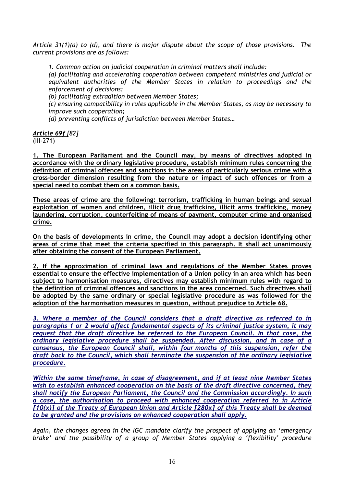*Article 31(1)(a) to (d), and there is major dispute about the scope of those provisions. The current provisions are as follows:* 

*1. Common action on judicial cooperation in criminal matters shall include:* 

*(a) facilitating and accelerating cooperation between competent ministries and judicial or equivalent authorities of the Member States in relation to proceedings and the enforcement of decisions;* 

*(b) facilitating extradition between Member States;* 

*(c) ensuring compatibility in rules applicable in the Member States, as may be necessary to improve such cooperation;* 

*(d) preventing conflicts of jurisdiction between Member States…* 

*Article 69f [82]*   $\overline{(\text{III-271})}$ 

**1. The European Parliament and the Council may, by means of directives adopted in accordance with the ordinary legislative procedure, establish minimum rules concerning the definition of criminal offences and sanctions in the areas of particularly serious crime with a cross-border dimension resulting from the nature or impact of such offences or from a special need to combat them on a common basis.**

**These areas of crime are the following: terrorism, trafficking in human beings and sexual exploitation of women and children, illicit drug trafficking, illicit arms trafficking, money laundering, corruption, counterfeiting of means of payment, computer crime and organised crime.**

**On the basis of developments in crime, the Council may adopt a decision identifying other areas of crime that meet the criteria specified in this paragraph. It shall act unanimously after obtaining the consent of the European Parliament.**

**2. If the approximation of criminal laws and regulations of the Member States proves essential to ensure the effective implementation of a Union policy in an area which has been subject to harmonisation measures, directives may establish minimum rules with regard to the definition of criminal offences and sanctions in the area concerned. Such directives shall be adopted by the same ordinary or special legislative procedure as was followed for the adoption of the harmonisation measures in question, without prejudice to Article 68.**

*3. Where a member of the Council considers that a draft directive as referred to in paragraphs 1 or 2 would affect fundamental aspects of its criminal justice system, it may request that the draft directive be referred to the European Council. In that case, the ordinary legislative procedure shall be suspended. After discussion, and in case of a consensus, the European Council shall, within four months of this suspension, refer the draft back to the Council, which shall terminate the suspension of the ordinary legislative procedure.*

*Within the same timeframe, in case of disagreement, and if at least nine Member States wish to establish enhanced cooperation on the basis of the draft directive concerned, they shall notify the European Parliament, the Council and the Commission accordingly. In such a case, the authorisation to proceed with enhanced cooperation referred to in Article [10(x)] of the Treaty of European Union and Article [280x] of this Treaty shall be deemed to be granted and the provisions on enhanced cooperation shall apply.*

*Again, the changes agreed in the IGC mandate clarify the prospect of applying an 'emergency brake' and the possibility of a group of Member States applying a 'flexibility' procedure*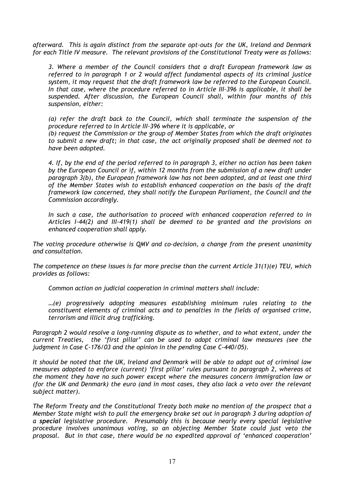*afterward. This is again distinct from the separate opt-outs for the UK, Ireland and Denmark for each Title IV measure. The relevant provisions of the Constitutional Treaty were as follows:* 

*3. Where a member of the Council considers that a draft European framework law as referred to in paragraph 1 or 2 would affect fundamental aspects of its criminal justice system, it may request that the draft framework law be referred to the European Council. In that case, where the procedure referred to in Article III-396 is applicable, it shall be suspended. After discussion, the European Council shall, within four months of this suspension, either:* 

*(a) refer the draft back to the Council, which shall terminate the suspension of the procedure referred to in Article III-396 where it is applicable, or* 

*(b) request the Commission or the group of Member States from which the draft originates to submit a new draft; in that case, the act originally proposed shall be deemed not to have been adopted.* 

*4. If, by the end of the period referred to in paragraph 3, either no action has been taken by the European Council or if, within 12 months from the submission of a new draft under paragraph 3(b), the European framework law has not been adopted, and at least one third of the Member States wish to establish enhanced cooperation on the basis of the draft framework law concerned, they shall notify the European Parliament, the Council and the Commission accordingly.* 

*In such a case, the authorisation to proceed with enhanced cooperation referred to in Articles I-44(2) and III-419(1) shall be deemed to be granted and the provisions on enhanced cooperation shall apply.* 

*The voting procedure otherwise is QMV and co-decision, a change from the present unanimity and consultation.* 

*The competence on these issues is far more precise than the current Article 31(1)(e) TEU, which provides as follows:* 

*Common action on judicial cooperation in criminal matters shall include:* 

*…(e) progressively adopting measures establishing minimum rules relating to the constituent elements of criminal acts and to penalties in the fields of organised crime, terrorism and illicit drug trafficking.* 

*Paragraph 2 would resolve a long-running dispute as to whether, and to what extent, under the current Treaties, the 'first pillar' can be used to adopt criminal law measures (see the judgment in Case C-176/03 and the opinion in the pending Case C-440/05).* 

*It should be noted that the UK, Ireland and Denmark will be able to adopt out of criminal law measures adopted to enforce (current) 'first pillar' rules pursuant to paragraph 2, whereas at the moment they have no such power except where the measures concern immigration law or (for the UK and Denmark) the euro (and in most cases, they also lack a veto over the relevant subject matter).* 

*The Reform Treaty and the Constitutional Treaty both make no mention of the prospect that a Member State might wish to pull the emergency brake set out in paragraph 3 during adoption of a special legislative procedure. Presumably this is because nearly every special legislative procedure involves unanimous voting, so an objecting Member State could just veto the proposal. But in that case, there would be no expedited approval of 'enhanced cooperation'*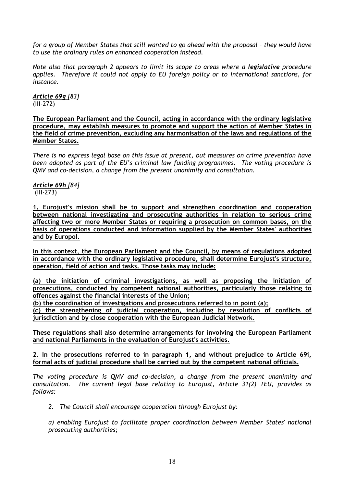*for a group of Member States that still wanted to go ahead with the proposal – they would have to use the ordinary rules on enhanced cooperation instead.* 

*Note also that paragraph 2 appears to limit its scope to areas where a legislative procedure applies. Therefore it could not apply to EU foreign policy or to international sanctions, for instance.* 

*Article 69g [83]*  (III-272)

**The European Parliament and the Council, acting in accordance with the ordinary legislative procedure, may establish measures to promote and support the action of Member States in the field of crime prevention, excluding any harmonisation of the laws and regulations of the Member States.**

*There is no express legal base on this issue at present, but measures on crime prevention have been adopted as part of the EU's criminal law funding programmes. The voting procedure is QMV and co-decision, a change from the present unanimity and consultation.* 

*Article 69h [84]* (III-273)

**1. Eurojust's mission shall be to support and strengthen coordination and cooperation between national investigating and prosecuting authorities in relation to serious crime affecting two or more Member States or requiring a prosecution on common bases, on the basis of operations conducted and information supplied by the Member States' authorities and by Europol.**

**In this context, the European Parliament and the Council, by means of regulations adopted in accordance with the ordinary legislative procedure, shall determine Eurojust's structure, operation, field of action and tasks. Those tasks may include:**

**(a) the initiation of criminal investigations, as well as proposing the initiation of prosecutions, conducted by competent national authorities, particularly those relating to offences against the financial interests of the Union;**

**(b) the coordination of investigations and prosecutions referred to in point (a);**

**(c) the strengthening of judicial cooperation, including by resolution of conflicts of jurisdiction and by close cooperation with the European Judicial Network.**

**These regulations shall also determine arrangements for involving the European Parliament and national Parliaments in the evaluation of Eurojust's activities.**

**2. In the prosecutions referred to in paragraph 1, and without prejudice to Article 69i, formal acts of judicial procedure shall be carried out by the competent national officials.**

*The voting procedure is QMV and co-decision, a change from the present unanimity and consultation. The current legal base relating to Eurojust, Article 31(2) TEU, provides as follows:* 

*2. The Council shall encourage cooperation through Eurojust by:* 

*a) enabling Eurojust to facilitate proper coordination between Member States' national prosecuting authorities;*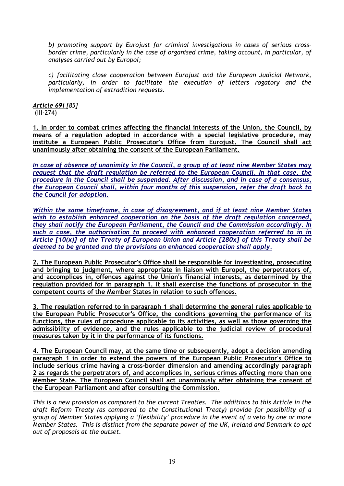*b) promoting support by Eurojust for criminal investigations in cases of serious crossborder crime, particularly in the case of organised crime, taking account, in particular, of analyses carried out by Europol;* 

*c) facilitating close cooperation between Eurojust and the European Judicial Network, particularly, in order to facilitate the execution of letters rogatory and the implementation of extradition requests.* 

*Article 69i [85]* (III-274)

**1. In order to combat crimes affecting the financial interests of the Union, the Council, by means of a regulation adopted in accordance with a special legislative procedure, may institute a European Public Prosecutor's Office from Eurojust. The Council shall act unanimously after obtaining the consent of the European Parliament.**

*In case of absence of unanimity in the Council, a group of at least nine Member States may request that the draft regulation be referred to the European Council. In that case, the procedure in the Council shall be suspended. After discussion, and in case of a consensus, the European Council shall, within four months of this suspension, refer the draft back to the Council for adoption.*

*Within the same timeframe, in case of disagreement, and if at least nine Member States wish to establish enhanced cooperation on the basis of the draft regulation concerned, they shall notify the European Parliament, the Council and the Commission accordingly. In*  such a case, the authorisation to proceed with enhanced cooperation referred to in in *Article [10(x)] of the Treaty of European Union and Article [280x] of this Treaty shall be deemed to be granted and the provisions on enhanced cooperation shall apply.* 

**2. The European Public Prosecutor's Office shall be responsible for investigating, prosecuting and bringing to judgment, where appropriate in liaison with Europol, the perpetrators of, and accomplices in, offences against the Union's financial interests, as determined by the regulation provided for in paragraph 1. It shall exercise the functions of prosecutor in the competent courts of the Member States in relation to such offences.**

**3. The regulation referred to in paragraph 1 shall determine the general rules applicable to the European Public Prosecutor's Office, the conditions governing the performance of its functions, the rules of procedure applicable to its activities, as well as those governing the admissibility of evidence, and the rules applicable to the judicial review of procedural measures taken by it in the performance of its functions.**

**4. The European Council may, at the same time or subsequently, adopt a decision amending paragraph 1 in order to extend the powers of the European Public Prosecutor's Office to include serious crime having a cross-border dimension and amending accordingly paragraph 2 as regards the perpetrators of, and accomplices in, serious crimes affecting more than one Member State. The European Council shall act unanimously after obtaining the consent of the European Parliament and after consulting the Commission.**

*This is a new provision as compared to the current Treaties. The additions to this Article in the draft Reform Treaty (as compared to the Constitutional Treaty) provide for possibility of a group of Member States applying a 'flexibility' procedure in the event of a veto by one or more Member States. This is distinct from the separate power of the UK, Ireland and Denmark to opt out of proposals at the outset.*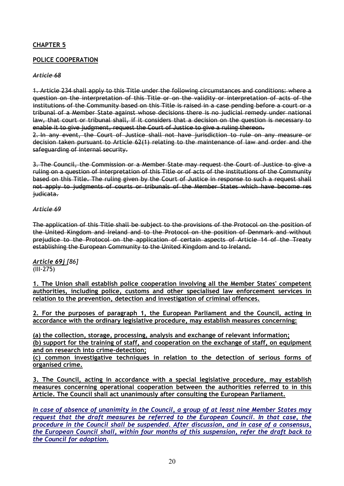# **CHAPTER 5**

# **POLICE COOPERATION**

# *Article 68*

1. Article 234 shall apply to this Title under the following circumstances and conditions: where a question on the interpretation of this Title or on the validity or interpretation of acts of the institutions of the Community based on this Title is raised in a case pending before a court or a tribunal of a Member State against whose decisions there is no judicial remedy under national law, that court or tribunal shall, if it considers that a decision on the question is necessary to enable it to give judgment, request the Court of Justice to give a ruling thereon.

2. In any event, the Court of Justice shall not have jurisdiction to rule on any measure or decision taken pursuant to Article 62(1) relating to the maintenance of law and order and the safeguarding of internal security.

3. The Council, the Commission or a Member State may request the Court of Justice to give a ruling on a question of interpretation of this Title or of acts of the institutions of the Community based on this Title. The ruling given by the Court of Justice in response to such a request shall not apply to judgments of courts or tribunals of the Member States which have become res judicata.

*Article 69* 

The application of this Title shall be subject to the provisions of the Protocol on the position of the United Kingdom and Ireland and to the Protocol on the position of Denmark and without prejudice to the Protocol on the application of certain aspects of Article 14 of the Treaty establishing the European Community to the United Kingdom and to Ireland.

*Article 69j [86]*  (III-275)

**1. The Union shall establish police cooperation involving all the Member States' competent authorities, including police, customs and other specialised law enforcement services in relation to the prevention, detection and investigation of criminal offences.**

**2. For the purposes of paragraph 1, the European Parliament and the Council, acting in accordance with the ordinary legislative procedure, may establish measures concerning:**

**(a) the collection, storage, processing, analysis and exchange of relevant information; (b) support for the training of staff, and cooperation on the exchange of staff, on equipment and on research into crime-detection;**

**(c) common investigative techniques in relation to the detection of serious forms of organised crime.**

**3. The Council, acting in accordance with a special legislative procedure, may establish measures concerning operational cooperation between the authorities referred to in this Article. The Council shall act unanimously after consulting the European Parliament.**

*In case of absence of unanimity in the Council, a group of at least nine Member States may request that the draft measures be referred to the European Council. In that case, the procedure in the Council shall be suspended. After discussion, and in case of a consensus, the European Council shall, within four months of this suspension, refer the draft back to the Council for adoption.*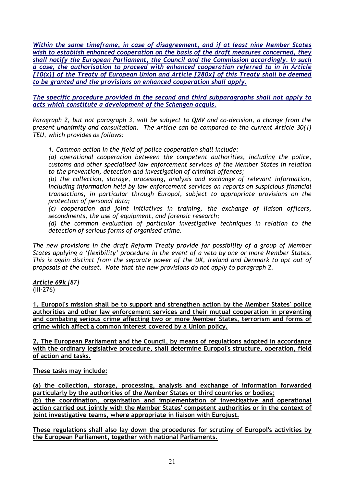*Within the same timeframe, in case of disagreement, and if at least nine Member States wish to establish enhanced cooperation on the basis of the draft measures concerned, they shall notify the European Parliament, the Council and the Commission accordingly. In such a case, the authorisation to proceed with enhanced cooperation referred to in in Article [10(x)] of the Treaty of European Union and Article [280x] of this Treaty shall be deemed to be granted and the provisions on enhanced cooperation shall apply.*

*The specific procedure provided in the second and third subparagraphs shall not apply to acts which constitute a development of the Schengen acquis.*

*Paragraph 2, but not paragraph 3, will be subject to QMV and co-decision, a change from the present unanimity and consultation. The Article can be compared to the current Article 30(1) TEU, which provides as follows:* 

*1. Common action in the field of police cooperation shall include:* 

*(a) operational cooperation between the competent authorities, including the police, customs and other specialised law enforcement services of the Member States in relation to the prevention, detection and investigation of criminal offences;* 

*(b) the collection, storage, processing, analysis and exchange of relevant information, including information held by law enforcement services on reports on suspicious financial transactions, in particular through Europol, subject to appropriate provisions on the protection of personal data;* 

*(c) cooperation and joint initiatives in training, the exchange of liaison officers, secondments, the use of equipment, and forensic research;* 

*(d) the common evaluation of particular investigative techniques in relation to the detection of serious forms of organised crime.* 

*The new provisions in the draft Reform Treaty provide for possibility of a group of Member States applying a 'flexibility' procedure in the event of a veto by one or more Member States. This is again distinct from the separate power of the UK, Ireland and Denmark to opt out of proposals at the outset. Note that the new provisions do not apply to paragraph 2.* 

*Article 69k [87]*  (III-276)

**1. Europol's mission shall be to support and strengthen action by the Member States' police authorities and other law enforcement services and their mutual cooperation in preventing and combating serious crime affecting two or more Member States, terrorism and forms of crime which affect a common interest covered by a Union policy.** 

**2. The European Parliament and the Council, by means of regulations adopted in accordance with the ordinary legislative procedure, shall determine Europol's structure, operation, field of action and tasks.** 

# **These tasks may include:**

**(a) the collection, storage, processing, analysis and exchange of information forwarded particularly by the authorities of the Member States or third countries or bodies; (b) the coordination, organisation and implementation of investigative and operational action carried out jointly with the Member States' competent authorities or in the context of joint investigative teams, where appropriate in liaison with Eurojust.**

**These regulations shall also lay down the procedures for scrutiny of Europol's activities by the European Parliament, together with national Parliaments.**